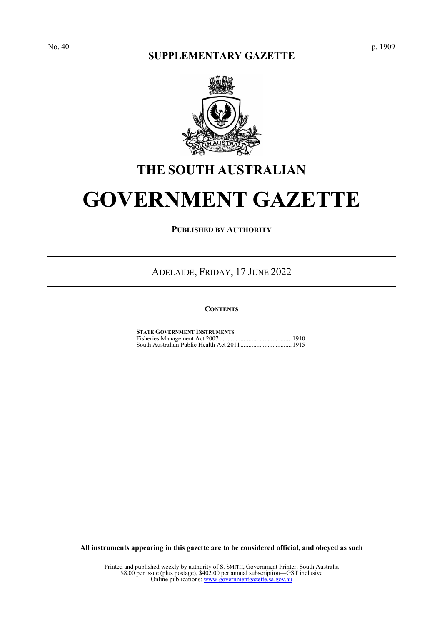## **SUPPLEMENTARY GAZETTE**



# **THE SOUTH AUSTRALIAN**

# **GOVERNMENT GAZETTE**

**PUBLISHED BY AUTHORITY**

ADELAIDE, FRIDAY, 17 JUNE 2022

#### **CONTENTS**

| <b>STATE GOVERNMENT INSTRUMENTS</b> |  |
|-------------------------------------|--|
|                                     |  |
|                                     |  |

**All instruments appearing in this gazette are to be considered official, and obeyed as such**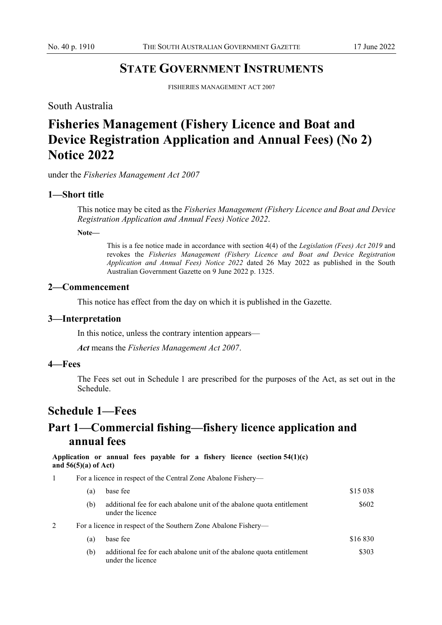## **STATE GOVERNMENT INSTRUMENTS**

FISHERIES MANAGEMENT ACT 2007

<span id="page-1-1"></span><span id="page-1-0"></span>South Australia

# **Fisheries Management (Fishery Licence and Boat and Device Registration Application and Annual Fees) (No 2) Notice 2022**

under the *Fisheries Management Act 2007*

#### **1—Short title**

This notice may be cited as the *Fisheries Management (Fishery Licence and Boat and Device Registration Application and Annual Fees) Notice 2022*.

**Note—**

This is a fee notice made in accordance with section 4(4) of the *Legislation (Fees) Act 2019* and revokes the *Fisheries Management (Fishery Licence and Boat and Device Registration Application and Annual Fees) Notice 2022* dated 26 May 2022 as published in the South Australian Government Gazette on 9 June 2022 p. 1325.

#### **2—Commencement**

This notice has effect from the day on which it is published in the Gazette.

#### **3—Interpretation**

In this notice, unless the contrary intention appears—

*Act* means the *Fisheries Management Act 2007*.

#### **4—Fees**

The Fees set out in Schedule 1 are prescribed for the purposes of the Act, as set out in the Schedule.

## **Schedule 1—Fees**

# **Part 1—Commercial fishing—fishery licence application and annual fees**

**Application or annual fees payable for a fishery licence (section 54(1)(c) and 56(5)(a) of Act)**

1 For a licence in respect of the Central Zone Abalone Fishery—

|  | a)  | base fee                                                                                   | \$15 038 |  |  |
|--|-----|--------------------------------------------------------------------------------------------|----------|--|--|
|  | (b) | additional fee for each abalone unit of the abalone quota entitlement<br>under the licence | \$602    |  |  |
|  |     | For a licence in respect of the Southern Zone Abalone Fishery—                             |          |  |  |
|  | a)  | base fee                                                                                   | \$16830  |  |  |
|  | (b) | additional fee for each abalone unit of the abalone quota entitlement<br>under the licence | \$303    |  |  |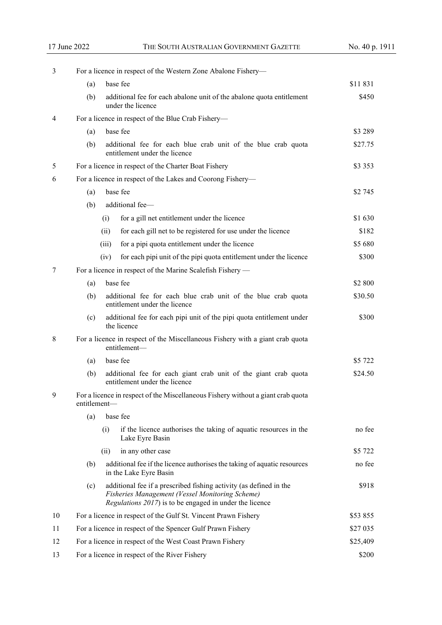| 3  | For a licence in respect of the Western Zone Abalone Fishery—                                                                                                                           |                                                                                                  |                                                                                                    |           |  |  |
|----|-----------------------------------------------------------------------------------------------------------------------------------------------------------------------------------------|--------------------------------------------------------------------------------------------------|----------------------------------------------------------------------------------------------------|-----------|--|--|
|    | (a)                                                                                                                                                                                     |                                                                                                  | base fee                                                                                           | \$11 831  |  |  |
|    | (b)                                                                                                                                                                                     |                                                                                                  | additional fee for each abalone unit of the abalone quota entitlement<br>under the licence         | \$450     |  |  |
| 4  | For a licence in respect of the Blue Crab Fishery-                                                                                                                                      |                                                                                                  |                                                                                                    |           |  |  |
|    | (a)                                                                                                                                                                                     | base fee                                                                                         |                                                                                                    |           |  |  |
|    | (b)                                                                                                                                                                                     |                                                                                                  | additional fee for each blue crab unit of the blue crab quota<br>entitlement under the licence     | \$27.75   |  |  |
| 5  |                                                                                                                                                                                         |                                                                                                  | For a licence in respect of the Charter Boat Fishery                                               | \$3 3 5 3 |  |  |
| 6  |                                                                                                                                                                                         | For a licence in respect of the Lakes and Coorong Fishery-                                       |                                                                                                    |           |  |  |
|    | (a)                                                                                                                                                                                     | \$2 745                                                                                          |                                                                                                    |           |  |  |
|    | (b)                                                                                                                                                                                     |                                                                                                  | additional fee-                                                                                    |           |  |  |
|    |                                                                                                                                                                                         | (i)                                                                                              | for a gill net entitlement under the licence                                                       | \$1 630   |  |  |
|    |                                                                                                                                                                                         | (ii)                                                                                             | for each gill net to be registered for use under the licence                                       | \$182     |  |  |
|    |                                                                                                                                                                                         | (iii)                                                                                            | for a pipi quota entitlement under the licence                                                     | \$5 680   |  |  |
|    |                                                                                                                                                                                         | (iv)                                                                                             | for each pipi unit of the pipi quota entitlement under the licence                                 | \$300     |  |  |
| 7  |                                                                                                                                                                                         |                                                                                                  | For a licence in respect of the Marine Scalefish Fishery —                                         |           |  |  |
|    | base fee<br>(a)                                                                                                                                                                         |                                                                                                  | \$2 800                                                                                            |           |  |  |
|    | (b)<br>additional fee for each blue crab unit of the blue crab quota<br>entitlement under the licence                                                                                   |                                                                                                  | \$30.50                                                                                            |           |  |  |
|    | additional fee for each pipi unit of the pipi quota entitlement under<br>(c)<br>the licence                                                                                             |                                                                                                  | \$300                                                                                              |           |  |  |
| 8  | For a licence in respect of the Miscellaneous Fishery with a giant crab quota<br>entitlement-                                                                                           |                                                                                                  |                                                                                                    |           |  |  |
|    | (a)                                                                                                                                                                                     | base fee                                                                                         |                                                                                                    | \$5 722   |  |  |
|    | (b)                                                                                                                                                                                     | additional fee for each giant crab unit of the giant crab quota<br>entitlement under the licence | \$24.50                                                                                            |           |  |  |
| 9  | For a licence in respect of the Miscellaneous Fishery without a giant crab quota<br>entitlement-                                                                                        |                                                                                                  |                                                                                                    |           |  |  |
|    | (a)                                                                                                                                                                                     |                                                                                                  |                                                                                                    |           |  |  |
|    |                                                                                                                                                                                         | (i)                                                                                              | if the licence authorises the taking of aquatic resources in the<br>Lake Eyre Basin                | no fee    |  |  |
|    |                                                                                                                                                                                         | (ii)                                                                                             | in any other case                                                                                  | \$5 722   |  |  |
|    | (b)                                                                                                                                                                                     |                                                                                                  | additional fee if the licence authorises the taking of aquatic resources<br>in the Lake Eyre Basin | no fee    |  |  |
|    | additional fee if a prescribed fishing activity (as defined in the<br>(c)<br>Fisheries Management (Vessel Monitoring Scheme)<br>Regulations 2017) is to be engaged in under the licence |                                                                                                  | \$918                                                                                              |           |  |  |
| 10 | For a licence in respect of the Gulf St. Vincent Prawn Fishery                                                                                                                          |                                                                                                  |                                                                                                    | \$53 855  |  |  |
| 11 |                                                                                                                                                                                         |                                                                                                  | For a licence in respect of the Spencer Gulf Prawn Fishery                                         | \$27 035  |  |  |
| 12 | For a licence in respect of the West Coast Prawn Fishery                                                                                                                                |                                                                                                  |                                                                                                    | \$25,409  |  |  |
| 13 | \$200<br>For a licence in respect of the River Fishery                                                                                                                                  |                                                                                                  |                                                                                                    |           |  |  |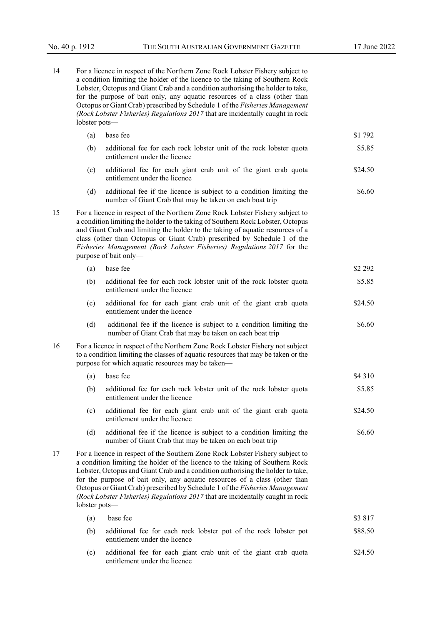| 14 | For a licence in respect of the Northern Zone Rock Lobster Fishery subject to<br>a condition limiting the holder of the licence to the taking of Southern Rock<br>Lobster, Octopus and Giant Crab and a condition authorising the holder to take,<br>for the purpose of bait only, any aquatic resources of a class (other than<br>Octopus or Giant Crab) prescribed by Schedule 1 of the Fisheries Management<br>(Rock Lobster Fisheries) Regulations 2017 that are incidentally caught in rock<br>lobster pots- |                                                                                                                                                                                                                                                                                                                                                                                                                                                                                                                   |         |  |  |  |
|----|-------------------------------------------------------------------------------------------------------------------------------------------------------------------------------------------------------------------------------------------------------------------------------------------------------------------------------------------------------------------------------------------------------------------------------------------------------------------------------------------------------------------|-------------------------------------------------------------------------------------------------------------------------------------------------------------------------------------------------------------------------------------------------------------------------------------------------------------------------------------------------------------------------------------------------------------------------------------------------------------------------------------------------------------------|---------|--|--|--|
|    | (a)                                                                                                                                                                                                                                                                                                                                                                                                                                                                                                               | base fee                                                                                                                                                                                                                                                                                                                                                                                                                                                                                                          | \$1 792 |  |  |  |
|    | (b)                                                                                                                                                                                                                                                                                                                                                                                                                                                                                                               | additional fee for each rock lobster unit of the rock lobster quota<br>entitlement under the licence                                                                                                                                                                                                                                                                                                                                                                                                              | \$5.85  |  |  |  |
|    | (c)                                                                                                                                                                                                                                                                                                                                                                                                                                                                                                               | additional fee for each giant crab unit of the giant crab quota<br>entitlement under the licence                                                                                                                                                                                                                                                                                                                                                                                                                  | \$24.50 |  |  |  |
|    | (d)                                                                                                                                                                                                                                                                                                                                                                                                                                                                                                               | additional fee if the licence is subject to a condition limiting the<br>number of Giant Crab that may be taken on each boat trip                                                                                                                                                                                                                                                                                                                                                                                  | \$6.60  |  |  |  |
| 15 |                                                                                                                                                                                                                                                                                                                                                                                                                                                                                                                   | For a licence in respect of the Northern Zone Rock Lobster Fishery subject to<br>a condition limiting the holder to the taking of Southern Rock Lobster, Octopus<br>and Giant Crab and limiting the holder to the taking of aquatic resources of a<br>class (other than Octopus or Giant Crab) prescribed by Schedule 1 of the<br>Fisheries Management (Rock Lobster Fisheries) Regulations 2017 for the<br>purpose of bait only-                                                                                 |         |  |  |  |
|    | (a)                                                                                                                                                                                                                                                                                                                                                                                                                                                                                                               | base fee                                                                                                                                                                                                                                                                                                                                                                                                                                                                                                          | \$2 292 |  |  |  |
|    | (b)                                                                                                                                                                                                                                                                                                                                                                                                                                                                                                               | additional fee for each rock lobster unit of the rock lobster quota<br>entitlement under the licence                                                                                                                                                                                                                                                                                                                                                                                                              | \$5.85  |  |  |  |
|    | (c)                                                                                                                                                                                                                                                                                                                                                                                                                                                                                                               | additional fee for each giant crab unit of the giant crab quota<br>entitlement under the licence                                                                                                                                                                                                                                                                                                                                                                                                                  | \$24.50 |  |  |  |
|    | (d)                                                                                                                                                                                                                                                                                                                                                                                                                                                                                                               | additional fee if the licence is subject to a condition limiting the<br>number of Giant Crab that may be taken on each boat trip                                                                                                                                                                                                                                                                                                                                                                                  | \$6.60  |  |  |  |
| 16 |                                                                                                                                                                                                                                                                                                                                                                                                                                                                                                                   | For a licence in respect of the Northern Zone Rock Lobster Fishery not subject<br>to a condition limiting the classes of aquatic resources that may be taken or the<br>purpose for which aquatic resources may be taken-                                                                                                                                                                                                                                                                                          |         |  |  |  |
|    | (a)                                                                                                                                                                                                                                                                                                                                                                                                                                                                                                               | base fee                                                                                                                                                                                                                                                                                                                                                                                                                                                                                                          | \$4 310 |  |  |  |
|    | (b)                                                                                                                                                                                                                                                                                                                                                                                                                                                                                                               | additional fee for each rock lobster unit of the rock lobster quota<br>entitlement under the licence                                                                                                                                                                                                                                                                                                                                                                                                              | \$5.85  |  |  |  |
|    | (c)                                                                                                                                                                                                                                                                                                                                                                                                                                                                                                               | additional fee for each giant crab unit of the giant crab quota<br>entitlement under the licence                                                                                                                                                                                                                                                                                                                                                                                                                  | \$24.50 |  |  |  |
|    | (d)                                                                                                                                                                                                                                                                                                                                                                                                                                                                                                               | additional fee if the licence is subject to a condition limiting the<br>number of Giant Crab that may be taken on each boat trip                                                                                                                                                                                                                                                                                                                                                                                  | \$6.60  |  |  |  |
| 17 |                                                                                                                                                                                                                                                                                                                                                                                                                                                                                                                   | For a licence in respect of the Southern Zone Rock Lobster Fishery subject to<br>a condition limiting the holder of the licence to the taking of Southern Rock<br>Lobster, Octopus and Giant Crab and a condition authorising the holder to take,<br>for the purpose of bait only, any aquatic resources of a class (other than<br>Octopus or Giant Crab) prescribed by Schedule 1 of the Fisheries Management<br>(Rock Lobster Fisheries) Regulations 2017 that are incidentally caught in rock<br>lobster pots- |         |  |  |  |
|    | (a)                                                                                                                                                                                                                                                                                                                                                                                                                                                                                                               | base fee                                                                                                                                                                                                                                                                                                                                                                                                                                                                                                          | \$3817  |  |  |  |
|    | (b)                                                                                                                                                                                                                                                                                                                                                                                                                                                                                                               | additional fee for each rock lobster pot of the rock lobster pot<br>entitlement under the licence                                                                                                                                                                                                                                                                                                                                                                                                                 | \$88.50 |  |  |  |
|    | (c)                                                                                                                                                                                                                                                                                                                                                                                                                                                                                                               | additional fee for each giant crab unit of the giant crab quota<br>entitlement under the licence                                                                                                                                                                                                                                                                                                                                                                                                                  | \$24.50 |  |  |  |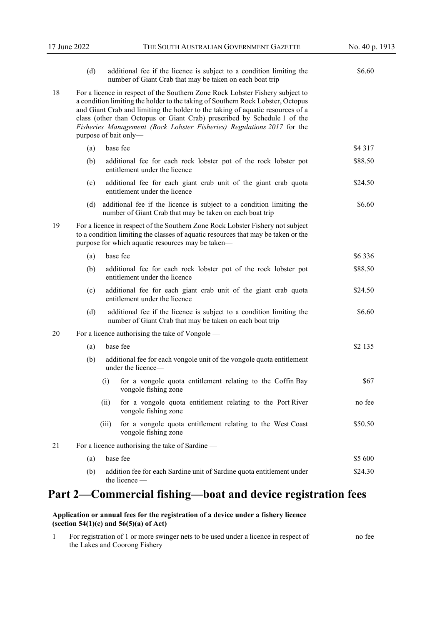|    | (d)                                                                                                                                                                                                                                                                                                                                                                                                                               |                                                                                                                                                                                                                          | additional fee if the licence is subject to a condition limiting the<br>number of Giant Crab that may be taken on each boat trip     | \$6.60    |  |  |
|----|-----------------------------------------------------------------------------------------------------------------------------------------------------------------------------------------------------------------------------------------------------------------------------------------------------------------------------------------------------------------------------------------------------------------------------------|--------------------------------------------------------------------------------------------------------------------------------------------------------------------------------------------------------------------------|--------------------------------------------------------------------------------------------------------------------------------------|-----------|--|--|
| 18 | For a licence in respect of the Southern Zone Rock Lobster Fishery subject to<br>a condition limiting the holder to the taking of Southern Rock Lobster, Octopus<br>and Giant Crab and limiting the holder to the taking of aquatic resources of a<br>class (other than Octopus or Giant Crab) prescribed by Schedule 1 of the<br>Fisheries Management (Rock Lobster Fisheries) Regulations 2017 for the<br>purpose of bait only- |                                                                                                                                                                                                                          |                                                                                                                                      |           |  |  |
|    | (a)                                                                                                                                                                                                                                                                                                                                                                                                                               |                                                                                                                                                                                                                          | base fee                                                                                                                             | \$4 3 1 7 |  |  |
|    | (b)                                                                                                                                                                                                                                                                                                                                                                                                                               |                                                                                                                                                                                                                          | additional fee for each rock lobster pot of the rock lobster pot<br>entitlement under the licence                                    | \$88.50   |  |  |
|    | (c)                                                                                                                                                                                                                                                                                                                                                                                                                               |                                                                                                                                                                                                                          | additional fee for each giant crab unit of the giant crab quota<br>entitlement under the licence                                     | \$24.50   |  |  |
|    |                                                                                                                                                                                                                                                                                                                                                                                                                                   |                                                                                                                                                                                                                          | (d) additional fee if the licence is subject to a condition limiting the<br>number of Giant Crab that may be taken on each boat trip | \$6.60    |  |  |
| 19 |                                                                                                                                                                                                                                                                                                                                                                                                                                   | For a licence in respect of the Southern Zone Rock Lobster Fishery not subject<br>to a condition limiting the classes of aquatic resources that may be taken or the<br>purpose for which aquatic resources may be taken- |                                                                                                                                      |           |  |  |
|    | (a)                                                                                                                                                                                                                                                                                                                                                                                                                               |                                                                                                                                                                                                                          | base fee                                                                                                                             | \$6336    |  |  |
|    | (b)                                                                                                                                                                                                                                                                                                                                                                                                                               |                                                                                                                                                                                                                          | additional fee for each rock lobster pot of the rock lobster pot<br>entitlement under the licence                                    | \$88.50   |  |  |
|    | (c)                                                                                                                                                                                                                                                                                                                                                                                                                               |                                                                                                                                                                                                                          | additional fee for each giant crab unit of the giant crab quota<br>entitlement under the licence                                     | \$24.50   |  |  |
|    | (d)                                                                                                                                                                                                                                                                                                                                                                                                                               | additional fee if the licence is subject to a condition limiting the<br>number of Giant Crab that may be taken on each boat trip                                                                                         |                                                                                                                                      |           |  |  |
| 20 |                                                                                                                                                                                                                                                                                                                                                                                                                                   | For a licence authorising the take of Vongole —                                                                                                                                                                          |                                                                                                                                      |           |  |  |
|    | (a)                                                                                                                                                                                                                                                                                                                                                                                                                               |                                                                                                                                                                                                                          | base fee                                                                                                                             | \$2 135   |  |  |
|    | (b)                                                                                                                                                                                                                                                                                                                                                                                                                               |                                                                                                                                                                                                                          | additional fee for each vongole unit of the vongole quota entitlement<br>under the licence-                                          |           |  |  |
|    |                                                                                                                                                                                                                                                                                                                                                                                                                                   | (i)                                                                                                                                                                                                                      | for a vongole quota entitlement relating to the Coffin Bay<br>vongole fishing zone                                                   | \$67      |  |  |
|    |                                                                                                                                                                                                                                                                                                                                                                                                                                   | (ii)                                                                                                                                                                                                                     | for a vongole quota entitlement relating to the Port River<br>vongole fishing zone                                                   | no fee    |  |  |
|    |                                                                                                                                                                                                                                                                                                                                                                                                                                   | (iii)                                                                                                                                                                                                                    | for a vongole quota entitlement relating to the West Coast<br>vongole fishing zone                                                   | \$50.50   |  |  |
| 21 | For a licence authorising the take of Sardine —                                                                                                                                                                                                                                                                                                                                                                                   |                                                                                                                                                                                                                          |                                                                                                                                      |           |  |  |
|    | base fee<br>(a)                                                                                                                                                                                                                                                                                                                                                                                                                   |                                                                                                                                                                                                                          |                                                                                                                                      | \$5 600   |  |  |
|    | (b)                                                                                                                                                                                                                                                                                                                                                                                                                               |                                                                                                                                                                                                                          | addition fee for each Sardine unit of Sardine quota entitlement under<br>the licence -                                               | \$24.30   |  |  |

# **Part 2—Commercial fishing—boat and device registration fees**

#### **Application or annual fees for the registration of a device under a fishery licence (section 54(1)(c) and 56(5)(a) of Act)**

| For registration of 1 or more swinger nets to be used under a licence in respect of |  |  |  |  |
|-------------------------------------------------------------------------------------|--|--|--|--|
| the Lakes and Coorong Fishery                                                       |  |  |  |  |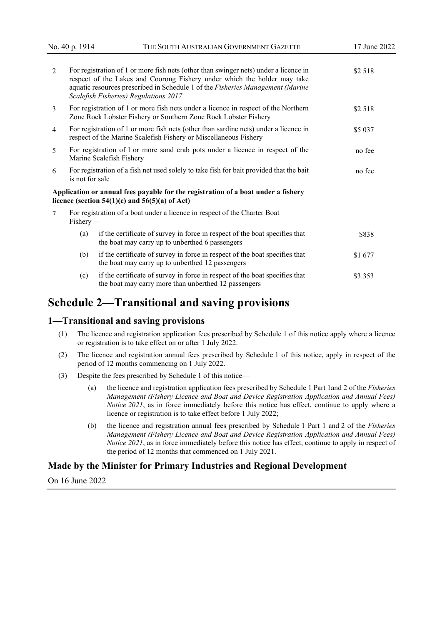| $\mathcal{L}$                                                                              |                                                                                                                                                                     | For registration of 1 or more fish nets (other than swinger nets) under a licence in<br>respect of the Lakes and Coorong Fishery under which the holder may take<br>aquatic resources prescribed in Schedule 1 of the Fisheries Management (Marine<br>Scalefish Fisheries) Regulations 2017 | \$2 518 |
|--------------------------------------------------------------------------------------------|---------------------------------------------------------------------------------------------------------------------------------------------------------------------|---------------------------------------------------------------------------------------------------------------------------------------------------------------------------------------------------------------------------------------------------------------------------------------------|---------|
| 3                                                                                          | For registration of 1 or more fish nets under a licence in respect of the Northern<br>\$2 518<br>Zone Rock Lobster Fishery or Southern Zone Rock Lobster Fishery    |                                                                                                                                                                                                                                                                                             |         |
| $\overline{4}$                                                                             | For registration of 1 or more fish nets (other than sardine nets) under a licence in<br>\$5 037<br>respect of the Marine Scalefish Fishery or Miscellaneous Fishery |                                                                                                                                                                                                                                                                                             |         |
| 5                                                                                          | For registration of 1 or more sand crab pots under a licence in respect of the<br>no fee<br>Marine Scalefish Fishery                                                |                                                                                                                                                                                                                                                                                             |         |
| 6                                                                                          | For registration of a fish net used solely to take fish for bait provided that the bait<br>no fee<br>is not for sale                                                |                                                                                                                                                                                                                                                                                             |         |
|                                                                                            |                                                                                                                                                                     | Application or annual fees payable for the registration of a boat under a fishery<br>licence (section $54(1)(c)$ and $56(5)(a)$ of Act)                                                                                                                                                     |         |
| For registration of a boat under a licence in respect of the Charter Boat<br>7<br>Fishery- |                                                                                                                                                                     |                                                                                                                                                                                                                                                                                             |         |
|                                                                                            | (a)                                                                                                                                                                 | if the certificate of survey in force in respect of the boat specifies that<br>the boat may carry up to unberthed 6 passengers                                                                                                                                                              | \$838   |
|                                                                                            | (b)                                                                                                                                                                 | if the certificate of survey in force in respect of the boat specifies that<br>the boat may carry up to unberthed 12 passengers                                                                                                                                                             | \$1 677 |
|                                                                                            | (c)                                                                                                                                                                 | if the certificate of survey in force in respect of the boat specifies that<br>the boat may carry more than unberthed 12 passengers                                                                                                                                                         | \$3 353 |

## **Schedule 2—Transitional and saving provisions**

#### **1—Transitional and saving provisions**

- (1) The licence and registration application fees prescribed by Schedule 1 of this notice apply where a licence or registration is to take effect on or after 1 July 2022.
- (2) The licence and registration annual fees prescribed by Schedule 1 of this notice, apply in respect of the period of 12 months commencing on 1 July 2022.
- (3) Despite the fees prescribed by Schedule 1 of this notice—
	- (a) the licence and registration application fees prescribed by Schedule 1 Part 1and 2 of the *Fisheries Management (Fishery Licence and Boat and Device Registration Application and Annual Fees) Notice 2021*, as in force immediately before this notice has effect, continue to apply where a licence or registration is to take effect before 1 July 2022;
	- (b) the licence and registration annual fees prescribed by Schedule 1 Part 1 and 2 of the *Fisheries Management (Fishery Licence and Boat and Device Registration Application and Annual Fees) Notice* 2021, as in force immediately before this notice has effect, continue to apply in respect of the period of 12 months that commenced on 1 July 2021.

#### **Made by the Minister for Primary Industries and Regional Development**

On 16 June 2022